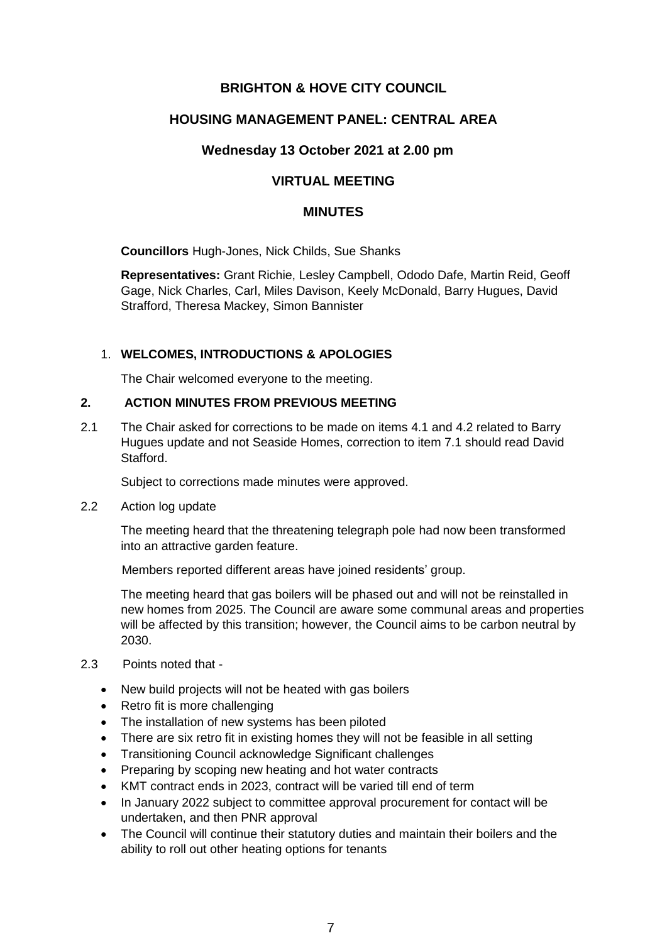# **BRIGHTON & HOVE CITY COUNCIL**

## **HOUSING MANAGEMENT PANEL: CENTRAL AREA**

### **Wednesday 13 October 2021 at 2.00 pm**

# **VIRTUAL MEETING**

#### **MINUTES**

**Councillors** Hugh-Jones, Nick Childs, Sue Shanks

**Representatives:** Grant Richie, Lesley Campbell, Ododo Dafe, Martin Reid, Geoff Gage, Nick Charles, Carl, Miles Davison, Keely McDonald, Barry Hugues, David Strafford, Theresa Mackey, Simon Bannister

### 1. **WELCOMES, INTRODUCTIONS & APOLOGIES**

The Chair welcomed everyone to the meeting.

#### **2. ACTION MINUTES FROM PREVIOUS MEETING**

2.1 The Chair asked for corrections to be made on items 4.1 and 4.2 related to Barry Hugues update and not Seaside Homes, correction to item 7.1 should read David Stafford.

Subject to corrections made minutes were approved.

2.2 Action log update

The meeting heard that the threatening telegraph pole had now been transformed into an attractive garden feature.

Members reported different areas have joined residents' group.

The meeting heard that gas boilers will be phased out and will not be reinstalled in new homes from 2025. The Council are aware some communal areas and properties will be affected by this transition; however, the Council aims to be carbon neutral by 2030.

- 2.3 Points noted that
	- New build projects will not be heated with gas boilers
	- Retro fit is more challenging
	- The installation of new systems has been piloted
	- There are six retro fit in existing homes they will not be feasible in all setting
	- Transitioning Council acknowledge Significant challenges
	- Preparing by scoping new heating and hot water contracts
	- KMT contract ends in 2023, contract will be varied till end of term
	- In January 2022 subject to committee approval procurement for contact will be undertaken, and then PNR approval
	- The Council will continue their statutory duties and maintain their boilers and the ability to roll out other heating options for tenants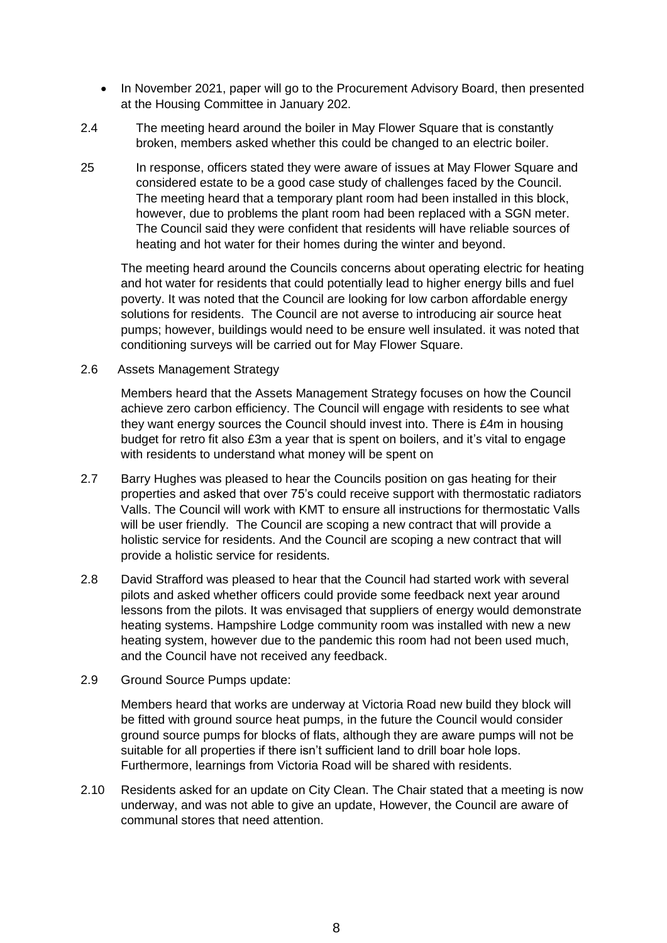- In November 2021, paper will go to the Procurement Advisory Board, then presented at the Housing Committee in January 202.
- 2.4 The meeting heard around the boiler in May Flower Square that is constantly broken, members asked whether this could be changed to an electric boiler.
- 25 In response, officers stated they were aware of issues at May Flower Square and considered estate to be a good case study of challenges faced by the Council. The meeting heard that a temporary plant room had been installed in this block, however, due to problems the plant room had been replaced with a SGN meter. The Council said they were confident that residents will have reliable sources of heating and hot water for their homes during the winter and beyond.

The meeting heard around the Councils concerns about operating electric for heating and hot water for residents that could potentially lead to higher energy bills and fuel poverty. It was noted that the Council are looking for low carbon affordable energy solutions for residents. The Council are not averse to introducing air source heat pumps; however, buildings would need to be ensure well insulated. it was noted that conditioning surveys will be carried out for May Flower Square.

2.6 Assets Management Strategy

Members heard that the Assets Management Strategy focuses on how the Council achieve zero carbon efficiency. The Council will engage with residents to see what they want energy sources the Council should invest into. There is £4m in housing budget for retro fit also £3m a year that is spent on boilers, and it's vital to engage with residents to understand what money will be spent on

- 2.7 Barry Hughes was pleased to hear the Councils position on gas heating for their properties and asked that over 75's could receive support with thermostatic radiators Valls. The Council will work with KMT to ensure all instructions for thermostatic Valls will be user friendly. The Council are scoping a new contract that will provide a holistic service for residents. And the Council are scoping a new contract that will provide a holistic service for residents.
- 2.8 David Strafford was pleased to hear that the Council had started work with several pilots and asked whether officers could provide some feedback next year around lessons from the pilots. It was envisaged that suppliers of energy would demonstrate heating systems. Hampshire Lodge community room was installed with new a new heating system, however due to the pandemic this room had not been used much, and the Council have not received any feedback.
- 2.9 Ground Source Pumps update:

Members heard that works are underway at Victoria Road new build they block will be fitted with ground source heat pumps, in the future the Council would consider ground source pumps for blocks of flats, although they are aware pumps will not be suitable for all properties if there isn't sufficient land to drill boar hole lops. Furthermore, learnings from Victoria Road will be shared with residents.

2.10 Residents asked for an update on City Clean. The Chair stated that a meeting is now underway, and was not able to give an update, However, the Council are aware of communal stores that need attention.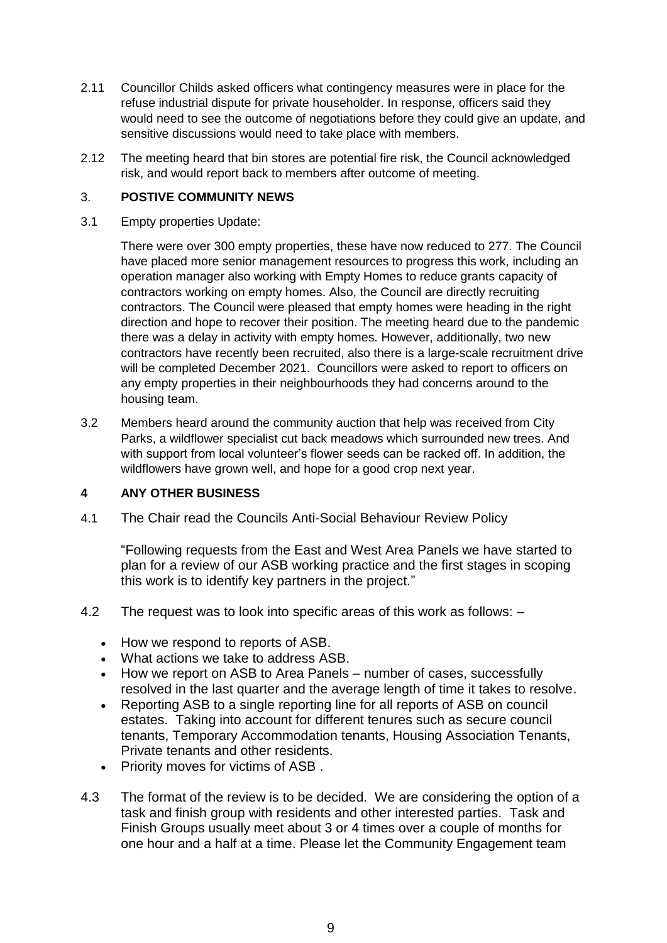- 2.11 Councillor Childs asked officers what contingency measures were in place for the refuse industrial dispute for private householder. In response, officers said they would need to see the outcome of negotiations before they could give an update, and sensitive discussions would need to take place with members.
- 2.12 The meeting heard that bin stores are potential fire risk, the Council acknowledged risk, and would report back to members after outcome of meeting.

### 3. **POSTIVE COMMUNITY NEWS**

3.1 Empty properties Update:

There were over 300 empty properties, these have now reduced to 277. The Council have placed more senior management resources to progress this work, including an operation manager also working with Empty Homes to reduce grants capacity of contractors working on empty homes. Also, the Council are directly recruiting contractors. The Council were pleased that empty homes were heading in the right direction and hope to recover their position. The meeting heard due to the pandemic there was a delay in activity with empty homes. However, additionally, two new contractors have recently been recruited, also there is a large-scale recruitment drive will be completed December 2021. Councillors were asked to report to officers on any empty properties in their neighbourhoods they had concerns around to the housing team.

3.2 Members heard around the community auction that help was received from City Parks, a wildflower specialist cut back meadows which surrounded new trees. And with support from local volunteer's flower seeds can be racked off. In addition, the wildflowers have grown well, and hope for a good crop next year.

# **4 ANY OTHER BUSINESS**

4.1 The Chair read the Councils Anti-Social Behaviour Review Policy

"Following requests from the East and West Area Panels we have started to plan for a review of our ASB working practice and the first stages in scoping this work is to identify key partners in the project."

- 4.2 The request was to look into specific areas of this work as follows:
	- How we respond to reports of ASB.
	- What actions we take to address ASB.
	- How we report on ASB to Area Panels number of cases, successfully resolved in the last quarter and the average length of time it takes to resolve.
	- Reporting ASB to a single reporting line for all reports of ASB on council estates. Taking into account for different tenures such as secure council tenants, Temporary Accommodation tenants, Housing Association Tenants, Private tenants and other residents.
	- Priority moves for victims of ASB.
- 4.3 The format of the review is to be decided. We are considering the option of a task and finish group with residents and other interested parties. Task and Finish Groups usually meet about 3 or 4 times over a couple of months for one hour and a half at a time. Please let the Community Engagement team